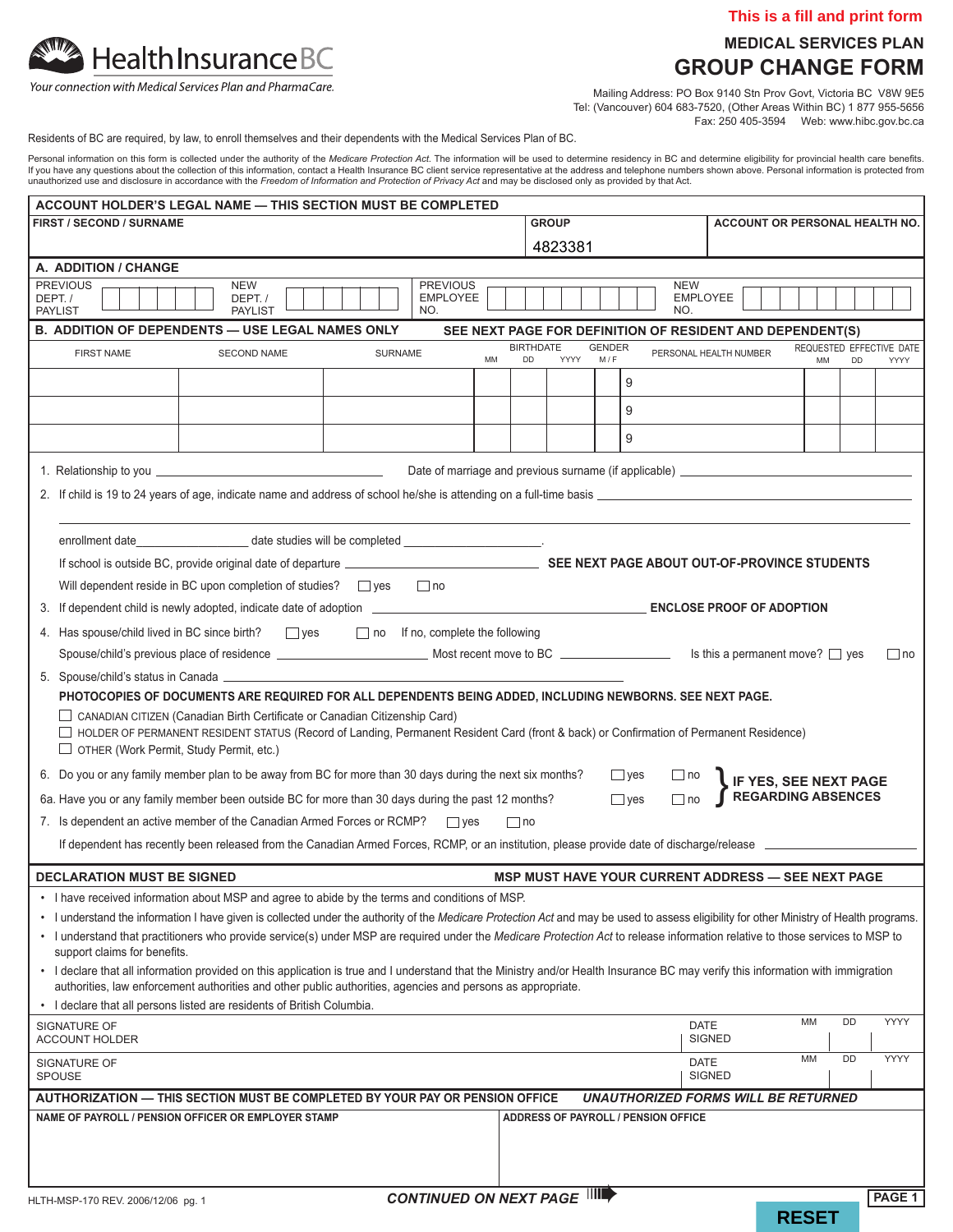

## **medical services plan group change form**

|                                                                                                                                                                                                                                                                                                                                                                                                                                                                                                                                                                                                                           |  |  |                          |  |  |  |         |                                    |            |                                                                                                                                          |                        |         |  |                      |            |                                                           |                              |  |                           |    |           | This is a fill and print form    |
|---------------------------------------------------------------------------------------------------------------------------------------------------------------------------------------------------------------------------------------------------------------------------------------------------------------------------------------------------------------------------------------------------------------------------------------------------------------------------------------------------------------------------------------------------------------------------------------------------------------------------|--|--|--------------------------|--|--|--|---------|------------------------------------|------------|------------------------------------------------------------------------------------------------------------------------------------------|------------------------|---------|--|----------------------|------------|-----------------------------------------------------------|------------------------------|--|---------------------------|----|-----------|----------------------------------|
|                                                                                                                                                                                                                                                                                                                                                                                                                                                                                                                                                                                                                           |  |  |                          |  |  |  |         |                                    |            |                                                                                                                                          |                        |         |  |                      |            |                                                           |                              |  |                           |    |           | <b>MEDICAL SERVICES PLAN</b>     |
| <b>Health Insurance BC</b><br>Your connection with Medical Services Plan and PharmaCare.                                                                                                                                                                                                                                                                                                                                                                                                                                                                                                                                  |  |  |                          |  |  |  |         |                                    |            | <b>GROUP CHANGE FORM</b>                                                                                                                 |                        |         |  |                      |            |                                                           |                              |  |                           |    |           |                                  |
|                                                                                                                                                                                                                                                                                                                                                                                                                                                                                                                                                                                                                           |  |  |                          |  |  |  |         |                                    |            | Mailing Address: PO Box 9140 Stn Prov Govt, Victoria BC V8W 9E5<br>Tel: (Vancouver) 604 683-7520, (Other Areas Within BC) 1 877 955-5656 |                        |         |  |                      |            |                                                           |                              |  |                           |    |           |                                  |
| Residents of BC are required, by law, to enroll themselves and their dependents with the Medical Services Plan of BC.                                                                                                                                                                                                                                                                                                                                                                                                                                                                                                     |  |  |                          |  |  |  |         |                                    |            |                                                                                                                                          |                        |         |  |                      |            |                                                           |                              |  |                           |    |           |                                  |
| Personal information on this form is collected under the authority of the Medicare Protection Act. The information will be used to determine residency in BC and determine eligibility for provincial health care benefits.<br>If you have any questions about the collection of this information, contact a Health Insurance BC client service representative at the address and telephone numbers shown above. Personal information is protected from<br>unauthorized use and disclosure in accordance with the Freedom of Information and Protection of Privacy Act and may be disclosed only as provided by that Act. |  |  |                          |  |  |  |         |                                    |            |                                                                                                                                          |                        |         |  |                      |            |                                                           |                              |  |                           |    |           |                                  |
| <b>ACCOUNT HOLDER'S LEGAL NAME - THIS SECTION MUST BE COMPLETED</b>                                                                                                                                                                                                                                                                                                                                                                                                                                                                                                                                                       |  |  |                          |  |  |  |         |                                    |            |                                                                                                                                          |                        |         |  |                      |            |                                                           |                              |  |                           |    |           |                                  |
| <b>FIRST / SECOND / SURNAME</b>                                                                                                                                                                                                                                                                                                                                                                                                                                                                                                                                                                                           |  |  |                          |  |  |  |         |                                    |            |                                                                                                                                          | <b>GROUP</b>           |         |  |                      |            | ACCOUNT OR PERSONAL HEALTH NO.                            |                              |  |                           |    |           |                                  |
| A. ADDITION / CHANGE                                                                                                                                                                                                                                                                                                                                                                                                                                                                                                                                                                                                      |  |  |                          |  |  |  |         |                                    |            |                                                                                                                                          |                        | 4823381 |  |                      |            |                                                           |                              |  |                           |    |           |                                  |
| <b>PREVIOUS</b>                                                                                                                                                                                                                                                                                                                                                                                                                                                                                                                                                                                                           |  |  | NEW                      |  |  |  |         | <b>PREVIOUS</b>                    |            |                                                                                                                                          |                        |         |  |                      |            | <b>NEW</b>                                                |                              |  |                           |    |           |                                  |
| DEPT./<br><b>PAYLIST</b>                                                                                                                                                                                                                                                                                                                                                                                                                                                                                                                                                                                                  |  |  | DEPT./<br><b>PAYLIST</b> |  |  |  |         | <b>EMPLOYEE</b><br>NO.             |            |                                                                                                                                          |                        |         |  |                      |            | NO.                                                       | <b>EMPLOYEE</b>              |  |                           |    |           |                                  |
| <b>B. ADDITION OF DEPENDENTS - USE LEGAL NAMES ONLY</b>                                                                                                                                                                                                                                                                                                                                                                                                                                                                                                                                                                   |  |  |                          |  |  |  |         |                                    |            |                                                                                                                                          |                        |         |  |                      |            | SEE NEXT PAGE FOR DEFINITION OF RESIDENT AND DEPENDENT(S) |                              |  |                           |    |           |                                  |
| <b>FIRST NAME</b>                                                                                                                                                                                                                                                                                                                                                                                                                                                                                                                                                                                                         |  |  | <b>SECOND NAME</b>       |  |  |  | SURNAME |                                    |            | MM                                                                                                                                       | <b>BIRTHDATE</b><br>DD | YYYY    |  | <b>GENDER</b><br>M/F |            | PERSONAL HEALTH NUMBER                                    |                              |  |                           | MM | <b>DD</b> | REQUESTED EFFECTIVE DATE<br>YYYY |
|                                                                                                                                                                                                                                                                                                                                                                                                                                                                                                                                                                                                                           |  |  |                          |  |  |  |         |                                    |            |                                                                                                                                          |                        |         |  |                      | 9          |                                                           |                              |  |                           |    |           |                                  |
|                                                                                                                                                                                                                                                                                                                                                                                                                                                                                                                                                                                                                           |  |  |                          |  |  |  |         |                                    |            |                                                                                                                                          |                        |         |  |                      | 9          |                                                           |                              |  |                           |    |           |                                  |
|                                                                                                                                                                                                                                                                                                                                                                                                                                                                                                                                                                                                                           |  |  |                          |  |  |  |         |                                    |            |                                                                                                                                          |                        |         |  |                      | 9          |                                                           |                              |  |                           |    |           |                                  |
|                                                                                                                                                                                                                                                                                                                                                                                                                                                                                                                                                                                                                           |  |  |                          |  |  |  |         |                                    |            |                                                                                                                                          |                        |         |  |                      |            |                                                           |                              |  |                           |    |           |                                  |
|                                                                                                                                                                                                                                                                                                                                                                                                                                                                                                                                                                                                                           |  |  |                          |  |  |  |         |                                    |            |                                                                                                                                          |                        |         |  |                      |            |                                                           |                              |  |                           |    |           |                                  |
|                                                                                                                                                                                                                                                                                                                                                                                                                                                                                                                                                                                                                           |  |  |                          |  |  |  |         |                                    |            |                                                                                                                                          |                        |         |  |                      |            |                                                           |                              |  |                           |    |           |                                  |
| enrollment date________________________date studies will be completed _____________________________                                                                                                                                                                                                                                                                                                                                                                                                                                                                                                                       |  |  |                          |  |  |  |         |                                    |            |                                                                                                                                          |                        |         |  |                      |            |                                                           |                              |  |                           |    |           |                                  |
| Will dependent reside in BC upon completion of studies? $\Box$ yes $\Box$ no                                                                                                                                                                                                                                                                                                                                                                                                                                                                                                                                              |  |  |                          |  |  |  |         |                                    |            |                                                                                                                                          |                        |         |  |                      |            |                                                           |                              |  |                           |    |           |                                  |
|                                                                                                                                                                                                                                                                                                                                                                                                                                                                                                                                                                                                                           |  |  |                          |  |  |  |         |                                    |            |                                                                                                                                          |                        |         |  |                      |            |                                                           |                              |  |                           |    |           |                                  |
|                                                                                                                                                                                                                                                                                                                                                                                                                                                                                                                                                                                                                           |  |  |                          |  |  |  |         |                                    |            |                                                                                                                                          |                        |         |  |                      |            |                                                           |                              |  |                           |    |           |                                  |
|                                                                                                                                                                                                                                                                                                                                                                                                                                                                                                                                                                                                                           |  |  |                          |  |  |  |         |                                    |            |                                                                                                                                          |                        |         |  |                      |            |                                                           |                              |  |                           |    |           | $\Box$ no                        |
|                                                                                                                                                                                                                                                                                                                                                                                                                                                                                                                                                                                                                           |  |  |                          |  |  |  |         |                                    |            |                                                                                                                                          |                        |         |  |                      |            |                                                           |                              |  |                           |    |           |                                  |
| PHOTOCOPIES OF DOCUMENTS ARE REQUIRED FOR ALL DEPENDENTS BEING ADDED, INCLUDING NEWBORNS. SEE NEXT PAGE.                                                                                                                                                                                                                                                                                                                                                                                                                                                                                                                  |  |  |                          |  |  |  |         |                                    |            |                                                                                                                                          |                        |         |  |                      |            |                                                           |                              |  |                           |    |           |                                  |
| CANADIAN CITIZEN (Canadian Birth Certificate or Canadian Citizenship Card)<br>□ HOLDER OF PERMANENT RESIDENT STATUS (Record of Landing, Permanent Resident Card (front & back) or Confirmation of Permanent Residence)<br>$\Box$ OTHER (Work Permit, Study Permit, etc.)                                                                                                                                                                                                                                                                                                                                                  |  |  |                          |  |  |  |         |                                    |            |                                                                                                                                          |                        |         |  |                      |            |                                                           |                              |  |                           |    |           |                                  |
| 6. Do you or any family member plan to be away from BC for more than 30 days during the next six months?                                                                                                                                                                                                                                                                                                                                                                                                                                                                                                                  |  |  |                          |  |  |  |         |                                    |            |                                                                                                                                          |                        |         |  |                      | $\Box$ yes | $\Box$ no                                                 |                              |  | IF YES, SEE NEXT PAGE     |    |           |                                  |
| 6a. Have you or any family member been outside BC for more than 30 days during the past 12 months?                                                                                                                                                                                                                                                                                                                                                                                                                                                                                                                        |  |  |                          |  |  |  |         |                                    |            |                                                                                                                                          |                        |         |  |                      | $\Box$ yes | $\Box$ no                                                 |                              |  | <b>REGARDING ABSENCES</b> |    |           |                                  |
| 7. Is dependent an active member of the Canadian Armed Forces or RCMP?                                                                                                                                                                                                                                                                                                                                                                                                                                                                                                                                                    |  |  |                          |  |  |  |         |                                    | $\Box$ yes |                                                                                                                                          | $\Box$ no              |         |  |                      |            |                                                           |                              |  |                           |    |           |                                  |
| If dependent has recently been released from the Canadian Armed Forces, RCMP, or an institution, please provide date of discharge/release                                                                                                                                                                                                                                                                                                                                                                                                                                                                                 |  |  |                          |  |  |  |         |                                    |            |                                                                                                                                          |                        |         |  |                      |            |                                                           |                              |  |                           |    |           |                                  |
| <b>DECLARATION MUST BE SIGNED</b>                                                                                                                                                                                                                                                                                                                                                                                                                                                                                                                                                                                         |  |  |                          |  |  |  |         |                                    |            |                                                                                                                                          |                        |         |  |                      |            | <b>MSP MUST HAVE YOUR CURRENT ADDRESS - SEE NEXT PAGE</b> |                              |  |                           |    |           |                                  |
| . I have received information about MSP and agree to abide by the terms and conditions of MSP.                                                                                                                                                                                                                                                                                                                                                                                                                                                                                                                            |  |  |                          |  |  |  |         |                                    |            |                                                                                                                                          |                        |         |  |                      |            |                                                           |                              |  |                           |    |           |                                  |
| · I understand the information I have given is collected under the authority of the Medicare Protection Act and may be used to assess eligibility for other Ministry of Health programs.<br>. I understand that practitioners who provide service(s) under MSP are required under the Medicare Protection Act to release information relative to those services to MSP to                                                                                                                                                                                                                                                 |  |  |                          |  |  |  |         |                                    |            |                                                                                                                                          |                        |         |  |                      |            |                                                           |                              |  |                           |    |           |                                  |
| support claims for benefits.                                                                                                                                                                                                                                                                                                                                                                                                                                                                                                                                                                                              |  |  |                          |  |  |  |         |                                    |            |                                                                                                                                          |                        |         |  |                      |            |                                                           |                              |  |                           |    |           |                                  |
| • I declare that all information provided on this application is true and I understand that the Ministry and/or Health Insurance BC may verify this information with immigration<br>authorities, law enforcement authorities and other public authorities, agencies and persons as appropriate.                                                                                                                                                                                                                                                                                                                           |  |  |                          |  |  |  |         |                                    |            |                                                                                                                                          |                        |         |  |                      |            |                                                           |                              |  |                           |    |           |                                  |
| • I declare that all persons listed are residents of British Columbia.<br>SIGNATURE OF                                                                                                                                                                                                                                                                                                                                                                                                                                                                                                                                    |  |  |                          |  |  |  |         |                                    |            |                                                                                                                                          |                        |         |  |                      |            |                                                           | <b>DATE</b>                  |  | MM                        |    | DD        | YYYY                             |
| ACCOUNT HOLDER                                                                                                                                                                                                                                                                                                                                                                                                                                                                                                                                                                                                            |  |  |                          |  |  |  |         |                                    |            |                                                                                                                                          |                        |         |  |                      |            |                                                           | <b>SIGNED</b>                |  |                           |    |           |                                  |
| SIGNATURE OF<br><b>SPOUSE</b>                                                                                                                                                                                                                                                                                                                                                                                                                                                                                                                                                                                             |  |  |                          |  |  |  |         |                                    |            |                                                                                                                                          |                        |         |  |                      |            |                                                           | <b>DATE</b><br><b>SIGNED</b> |  | MM                        |    | DD        | YYYY                             |
| AUTHORIZATION — THIS SECTION MUST BE COMPLETED BY YOUR PAY OR PENSION OFFICE                                                                                                                                                                                                                                                                                                                                                                                                                                                                                                                                              |  |  |                          |  |  |  |         |                                    |            |                                                                                                                                          |                        |         |  |                      |            | <b>UNAUTHORIZED FORMS WILL BE RETURNED</b>                |                              |  |                           |    |           |                                  |
| NAME OF PAYROLL / PENSION OFFICER OR EMPLOYER STAMP                                                                                                                                                                                                                                                                                                                                                                                                                                                                                                                                                                       |  |  |                          |  |  |  |         |                                    |            |                                                                                                                                          |                        |         |  |                      |            | ADDRESS OF PAYROLL / PENSION OFFICE                       |                              |  |                           |    |           |                                  |
|                                                                                                                                                                                                                                                                                                                                                                                                                                                                                                                                                                                                                           |  |  |                          |  |  |  |         |                                    |            |                                                                                                                                          |                        |         |  |                      |            |                                                           |                              |  |                           |    |           |                                  |
|                                                                                                                                                                                                                                                                                                                                                                                                                                                                                                                                                                                                                           |  |  |                          |  |  |  |         |                                    |            |                                                                                                                                          |                        |         |  |                      |            |                                                           |                              |  |                           |    |           |                                  |
| HLTH-MSP-170 REV. 2006/12/06 pg. 1                                                                                                                                                                                                                                                                                                                                                                                                                                                                                                                                                                                        |  |  |                          |  |  |  |         | <b>CONTINUED ON NEXT PAGE IIII</b> |            |                                                                                                                                          |                        |         |  |                      |            |                                                           |                              |  |                           |    |           | PAGE 1                           |

**RESET**